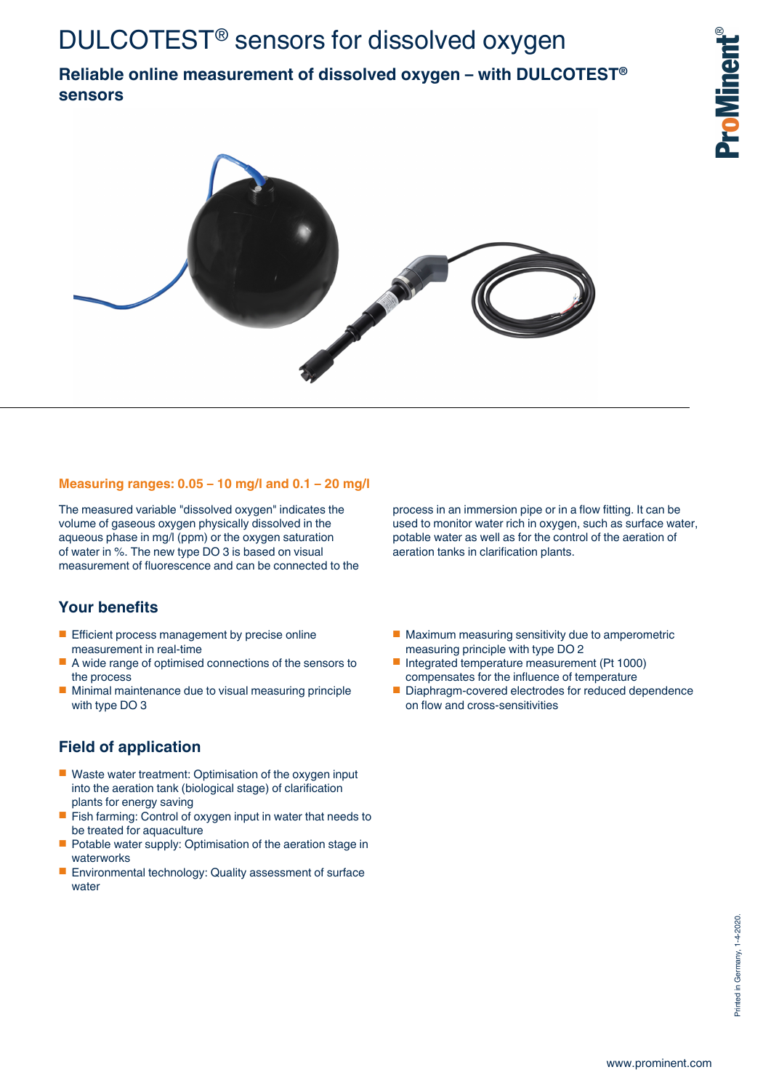## **Reliable online measurement of dissolved oxygen – with DULCOTEST® sensors**





#### **Measuring ranges: 0.05 – 10 mg/l and 0.1 – 20 mg/l**

The measured variable "dissolved oxygen" indicates the volume of gaseous oxygen physically dissolved in the aqueous phase in mg/l (ppm) or the oxygen saturation of water in %. The new type DO 3 is based on visual measurement of fluorescence and can be connected to the

### **Your benefits**

- Efficient process management by precise online measurement in real-time
- A wide range of optimised connections of the sensors to the process
- Minimal maintenance due to visual measuring principle with type DO 3

### **Field of application**

- Waste water treatment: Optimisation of the oxygen input into the aeration tank (biological stage) of clarification plants for energy saving
- Fish farming: Control of oxygen input in water that needs to be treated for aquaculture
- Potable water supply: Optimisation of the aeration stage in waterworks
- Environmental technology: Quality assessment of surface water

process in an immersion pipe or in a flow fitting. It can be used to monitor water rich in oxygen, such as surface water, potable water as well as for the control of the aeration of aeration tanks in clarification plants.

- Maximum measuring sensitivity due to amperometric measuring principle with type DO 2
- Integrated temperature measurement (Pt 1000) compensates for the influence of temperature
- Diaphragm-covered electrodes for reduced dependence on flow and cross-sensitivities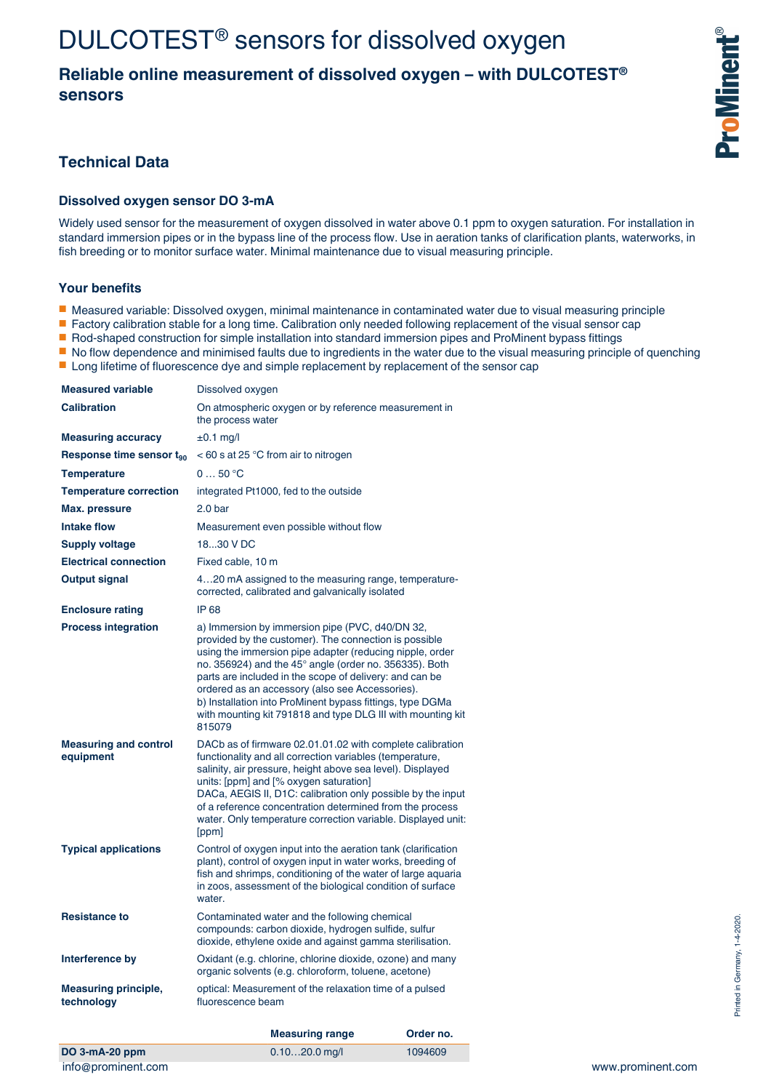# DULCOTEST® sensors for dissolved oxygen

## **Reliable online measurement of dissolved oxygen – with DULCOTEST® sensors**

## **Technical Data**

#### **Dissolved oxygen sensor DO 3-mA**

Widely used sensor for the measurement of oxygen dissolved in water above 0.1 ppm to oxygen saturation. For installation in standard immersion pipes or in the bypass line of the process flow. Use in aeration tanks of clarification plants, waterworks, in fish breeding or to monitor surface water. Minimal maintenance due to visual measuring principle.

#### **Your benefits**

- Measured variable: Dissolved oxygen, minimal maintenance in contaminated water due to visual measuring principle
- Factory calibration stable for a long time. Calibration only needed following replacement of the visual sensor cap
- Rod-shaped construction for simple installation into standard immersion pipes and ProMinent bypass fittings
- No flow dependence and minimised faults due to ingredients in the water due to the visual measuring principle of quenching
- Long lifetime of fluorescence dye and simple replacement by replacement of the sensor cap

|                                                       | <b>Measuring range</b>                                                                                                                                                                                                                                                                                                                                                                                                                                                             | Order no. |
|-------------------------------------------------------|------------------------------------------------------------------------------------------------------------------------------------------------------------------------------------------------------------------------------------------------------------------------------------------------------------------------------------------------------------------------------------------------------------------------------------------------------------------------------------|-----------|
| <b>Measuring principle,</b><br>technology             | optical: Measurement of the relaxation time of a pulsed<br>fluorescence beam                                                                                                                                                                                                                                                                                                                                                                                                       |           |
| Interference by                                       | Oxidant (e.g. chlorine, chlorine dioxide, ozone) and many<br>organic solvents (e.g. chloroform, toluene, acetone)                                                                                                                                                                                                                                                                                                                                                                  |           |
| <b>Resistance to</b>                                  | Contaminated water and the following chemical<br>compounds: carbon dioxide, hydrogen sulfide, sulfur<br>dioxide, ethylene oxide and against gamma sterilisation.                                                                                                                                                                                                                                                                                                                   |           |
| <b>Typical applications</b>                           | Control of oxygen input into the aeration tank (clarification<br>plant), control of oxygen input in water works, breeding of<br>fish and shrimps, conditioning of the water of large aquaria<br>in zoos, assessment of the biological condition of surface<br>water.                                                                                                                                                                                                               |           |
| <b>Measuring and control</b><br>equipment             | DACb as of firmware 02.01.01.02 with complete calibration<br>functionality and all correction variables (temperature,<br>salinity, air pressure, height above sea level). Displayed<br>units: [ppm] and [% oxygen saturation]<br>DACa, AEGIS II, D1C: calibration only possible by the input<br>of a reference concentration determined from the process<br>water. Only temperature correction variable. Displayed unit:<br>[ppm]                                                  |           |
| <b>Process integration</b>                            | a) Immersion by immersion pipe (PVC, d40/DN 32,<br>provided by the customer). The connection is possible<br>using the immersion pipe adapter (reducing nipple, order<br>no. 356924) and the 45° angle (order no. 356335). Both<br>parts are included in the scope of delivery: and can be<br>ordered as an accessory (also see Accessories).<br>b) Installation into ProMinent bypass fittings, type DGMa<br>with mounting kit 791818 and type DLG III with mounting kit<br>815079 |           |
| <b>Enclosure rating</b>                               | IP 68                                                                                                                                                                                                                                                                                                                                                                                                                                                                              |           |
|                                                       | corrected, calibrated and galvanically isolated                                                                                                                                                                                                                                                                                                                                                                                                                                    |           |
| <b>Output signal</b>                                  | 420 mA assigned to the measuring range, temperature-                                                                                                                                                                                                                                                                                                                                                                                                                               |           |
| <b>Supply voltage</b><br><b>Electrical connection</b> | 1830 V DC<br>Fixed cable, 10 m                                                                                                                                                                                                                                                                                                                                                                                                                                                     |           |
| <b>Intake flow</b>                                    | Measurement even possible without flow                                                                                                                                                                                                                                                                                                                                                                                                                                             |           |
| Max. pressure                                         | 2.0 <sub>bar</sub>                                                                                                                                                                                                                                                                                                                                                                                                                                                                 |           |
| <b>Temperature correction</b>                         | integrated Pt1000, fed to the outside                                                                                                                                                                                                                                                                                                                                                                                                                                              |           |
| <b>Temperature</b>                                    | 050 °C                                                                                                                                                                                                                                                                                                                                                                                                                                                                             |           |
| Response time sensor $t_{90}$                         | $<$ 60 s at 25 °C from air to nitrogen                                                                                                                                                                                                                                                                                                                                                                                                                                             |           |
| <b>Measuring accuracy</b>                             | $±0.1$ mg/l                                                                                                                                                                                                                                                                                                                                                                                                                                                                        |           |
| <b>Calibration</b>                                    | On atmospheric oxygen or by reference measurement in<br>the process water                                                                                                                                                                                                                                                                                                                                                                                                          |           |
| <b>Measured variable</b>                              | Dissolved oxygen                                                                                                                                                                                                                                                                                                                                                                                                                                                                   |           |